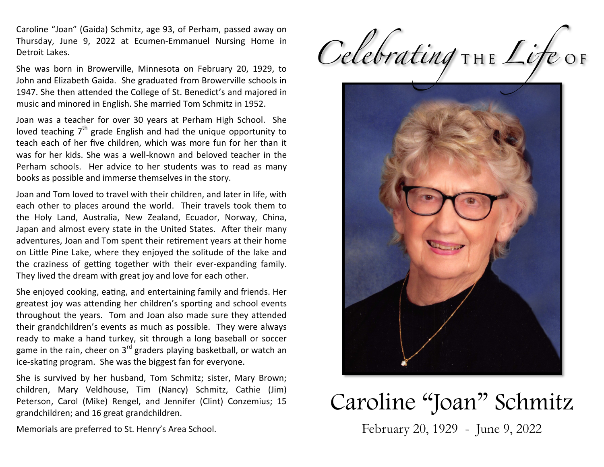Caroline "Joan" (Gaida) Schmitz, age 93, of Perham, passed away on Thursday, June 9, 2022 at Ecumen-Emmanuel Nursing Home in Detroit Lakes.

She was born in Browerville, Minnesota on February 20, 1929, to John and Elizabeth Gaida. She graduated from Browerville schools in 1947. She then attended the College of St. Benedict's and majored in music and minored in English. She married Tom Schmitz in 1952.

Joan was a teacher for over 30 years at Perham High School. She loved teaching  $7<sup>th</sup>$  grade English and had the unique opportunity to teach each of her five children, which was more fun for her than it was for her kids. She was a well-known and beloved teacher in the Perham schools. Her advice to her students was to read as many books as possible and immerse themselves in the story.

Joan and Tom loved to travel with their children, and later in life, with each other to places around the world. Their travels took them to the Holy Land, Australia, New Zealand, Ecuador, Norway, China, Japan and almost every state in the United States. After their many adventures, Joan and Tom spent their retirement years at their home on Little Pine Lake, where they enjoyed the solitude of the lake and the craziness of getting together with their ever-expanding family. They lived the dream with great joy and love for each other.

She enjoyed cooking, eating, and entertaining family and friends. Her greatest joy was attending her children's sporting and school events throughout the years. Tom and Joan also made sure they attended their grandchildren's events as much as possible. They were always ready to make a hand turkey, sit through a long baseball or soccer game in the rain, cheer on  $3<sup>rd</sup>$  graders playing basketball, or watch an ice-skating program. She was the biggest fan for everyone.

She is survived by her husband, Tom Schmitz; sister, Mary Brown; children, Mary Veldhouse, Tim (Nancy) Schmitz, Cathie (Jim) Peterson, Carol (Mike) Rengel, and Jennifer (Clint) Conzemius; 15 grandchildren; and 16 great grandchildren.

Memorials are preferred to St. Henry's Area School.

Celebrating THE Life OF



## Caroline "Joan" Schmitz

February 20, 1929 - June 9, 2022